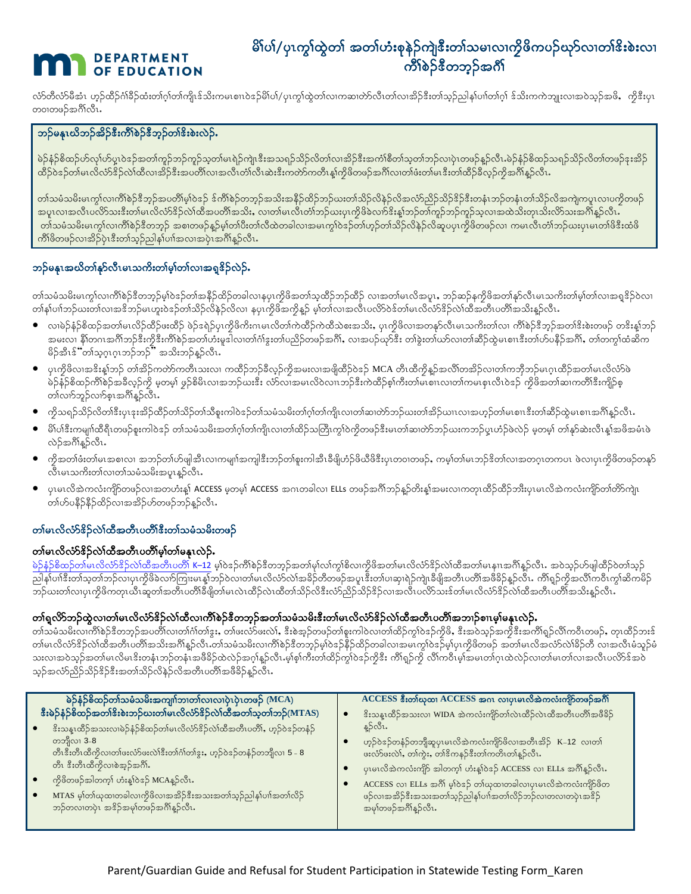# **DEPARTMENT OF EDUCATION**

# မိါပါ/ပုၤက္ဂါထွဲတါ အတါဟံးစုနဲဉ်ကျဲဒီးတါသမၢလၢကိုဖိကပဉ်ဃှာ်လၢတါဒိးစဲးလၢ ကြိ\စဉ်ဒီတဘွဉ်အင်္ဂါ

လ်ာတိလ်ာမိအံၤ ဟှဉ်ထိဉ်ဂံ၊ိနိဉ်ထံးတ၊်ဂါတ၊်ကျိၤန်သိုးကမၤစၢပဲနဉ်မိ၊်ပါ/ပု၊ကွ၊်ထဲတ၊လ၊ကဆ၊တ်လိၤတ၊်လ၊အိဉ်နီးတ၊သွဉ်ညါန၊်ပ၊၊တ၊ဂ္ဂါ န်သိးကကဲဘူူးလ၊အဝဲသွဉ်အမိ, ကိုနီးပု၊ တဝၢတဖဉ်အင်္ဂိုလီၤ

## ဘဉ်မနုၤယိဘဉ်အိဉ်ဒီးကိၢိစဉ်ဒီဘုဉ်တ၊်ဒိးစဲးလဲဉ်.

မဲဉ်နံဉ်စိထဉ်ဟ်လု၊်ဟ်ပူးဝဲနဉ်အတၢ်ကူဉ်ဘဉ်ကူဉ်သုတ၊်မၤရဲဉ်ကျဲ၊နီးအသရဉ်သိဉ်လိတ၊်လ၊အိဉ်နီးအကံ၊စိတ၊်သုတ၊ဘုတပညာနည်တီ၊ မဲဉ်နံဉ်စိထဉ်သရဉ်သိဉ်လိတ၊်တဖဉ်နူးအိဉ် ထိဉ်ဝဲဒဉ်တ၊်မၤလိလံာ်ဒိဉ်လ၊်ထိလ၊အိဉ်ဒီးအပတိ၊လ၊အလိ၊တ၊်လိ၊ဆဲးဒီးကတ်ာကတိ၊န္၊ကိုဖိတဖဉ်အဂိ၊လ၊တ၊ဖံးတ၊်မၤဒီးတ၊်ထိဉ်ခ်လှဉ်ကိုအဂိ၊နဉ်လိ၊

တါသမံသမိးမၤကွါလ၊ကိၢိစဉ်ဒီဘူဉ်အပတိ၊မူါဝဲဒဉ် ဒ်ကိၢိစဉ်တဘူဉ်အသိးအနိဉ်ထိဉ်ဘဉ်ယးတါသိဉ်လိနဉ်လိအလံဉညိဉ်သိဉ်ဒိဉ်ဒီးတနံၤဘဉ်တနံၤတါသိဉ်လိအကျဲကပူၤလ၊ပကိုတဖဉ် အပူးလ၊အလီးပလိ်ာသးဒီးတ၊်မၤလိလံာ်ဒိဉ်လဲ၊ထိအပတိ၊အသိး, လ၊တ၊်မၤလီးတံ၊ဘဉ်ဃးပုၤကိုဖိခဲလက်ဒိးန္၊ဘဉ်တ၊်ကူဉ်ဘဉ်ကူဉ်သူလ၊အထဲသိးတုၤသိးလိာ်သးအင်္ဂါန္ဉာလိၤ တါသမံသမိးမၤက္ဂါလ၊ကိၢိစဲဉ်ဒီတဘ္ဉ် အစ၊တဖဉ်န္ဥမ္၊တါပီးတ၊လိထဲတခါလ၊အမၤကုပ်ဒဉ်တ၊ဟ္ဥတ၊သိဉ်လိန္ဥလိဆူပပု၊ကိုဖိတဖဉ်လ၊ ကမၤလိၤတ၊်သဉ်ယႏပု၊မၤတ၊်ဖိဒီးထံဖိ ကိၢိဖိတဖဉ်လၢအိဉ်ပုံၤဒီးတၢ်သူဉ်ညါနၢ်ပၢါအလၢအပုံၤအဂ်ိၢနူဉ်လီၤ

## ဘဉ်မနုၤအဃိတၢ်နှာ်လီၤမၤသကိႏတၢ်မွ၊်တၢ်လၢအရှုဒိဉ်လဲဉ်.

တါသမံသမိးမၤက္ဂါလ၊ကိၢိစဲဉ်ဒီတဘုဉ်မှါဝဲဒဉ်တါအနိဉ်ထိဉ်တခါလ၊နပုၤကိုဖိအတါသူထိဉ်ဘဉ်ထိဉ် လ၊အတါမၤလိအပူၤ, ဘဉ်ဆဉ်နကိုဖိအတါနှာလီၤမၤသကီးတါမှ၊်တါလ၊အရှဒိဉ်ဝဲလ၊ တါန၊်ပၢါဘဉ်ဃးတါလ၊အဒိဘဉ်မၤဟူးဝဲဒဉ်တါသိဉ်လိနဉ်လိလ၊ နပုၤကိုဖိအကိုနူဉ် မှါတါလ၊အလီၤပလိ၁်ဝဲဒ်တါမၤလိလံာ်ဒိဉ်လဲ၊ထိအတိၤပတိ၊အသိႏနူဉ်လိၤ

- လၢမဲဉ်နံဉ်စိထဉ်အတ၊်မၤလိဉ်ထိဉ်ဖးထိဉ် ဖဲဉ်ဒရဲဉ်ပုၤကိုဖိကိးဂၤမၤလိတ၊်ကဲထိဉ်ကဲထိသဲစးအသိး, ပုၤကိုဖိလၢအတနာ်လီၤမၤသကိးတ၊်လ၊ ကိၢိစဉ်ဒီဘူဉ်အတ၊်ဒိးစဲးတဖဉ် တဒိးန္၊်ဘဉ် အမႈလ၊ နိ1်တဂၤအဂိၢိဘဉ်ဒီးကိုဒီးကိ၊်စဉ်အတ၊်ဟီးမှုဒါလ၊တ၊်ဂၢႆဒွးတ၊ပညိဉ်တဖဉ်အဂိၢဴ, လ၊အပဉ်ယှာဒီး တ၊်ခွဲးတ၊်ယာလ၊အိဉ်ထွဲမ၊စၢၤဒီးတ၊်ဟ်ပနိဉ်အဂိၢဴ, တ၊တက္ဂ၊ထံဆိက မိဉ်အီၤန််ံတၢ်သ့ဂ္ဂၤဂုၤဘဉ်ဘဉ်" အသိးဘဉ်နူဉ်လီၤ $\cdot$
- ပုၤကိဖိလၢအဒိးန္1ဘဉ် တၢ်အိဉ်ကတဲာ်ကတိၤသးလ၊ ကထိဉ်ဘဉ်ခီလှဉ်ကိုအမးလၢအဖျိထိဉ်ဝဲဒဉ် MCA တိၤထိကိုန္ဉာ်အလိၤ်တအိဉ်လ၊တၢ်ကဘိုဘဉ်မၤဂ္ၤထိဉ်အတၢ်မၤလိလံာ်ဖဲ မဲဉ်နံဉ်စိထဉ်ကိ\စဲဉ်အခီလှဉ်ကို မှတမှ၊ ဖှဉ်စိမိၤလ၊အဘဉ်ယးဒီး လံာ်လ၊အမၤလိဝဲလ၊ၤဘဉ်ဒီးကဲထိဉ်စု၊်ကီးတ၊စ၊စ၊လ၊တ၊ကလီ၊တော်၊တစ်၊တော်၊အေးကျိန်းကျိဉ်စု တၢ်လၢာ်ဘူဉ်လၢာ်စူၤအဂ်ိါန္ဥာလီၤ
- ကိုသရဉ်သိဉ်လိတါဒီးပုၤဒုးအိဉ်ထိဉ်တါသိဉတါသိစူးကါဝဲဒဉ်တါသမံသမိးတါဂုါတါကျိၤလ၊တါဆ၊တဲာဘဉ်ဃးတါအိဉ်ယၢၤလ၊အဟုဉ်တါမၤစၢၤဒီးတါဆိဉ်ထွဲမၤစၢၤအဂိါနူဉ်လိၤ
- မိ1်ပါဒီးကမျ၊ါထိရီၤတဖဉ်စူးကါဝဲနဉ် တါသမံသမိးအတါဂူါတ၊ကျိုလ၊တါထိဉ်သတြီၤကွါဝဲကိုတဖဉ်ဒီးမၤတါဆ၊တဲဘ်ဘည်ယူးကဘဉ်ပူၤဟံဉ်ဖဲလဲဉ် မှတမှ၊် တါနှာ်ဆဲးလီၤန္1အဖိအမံၤဖဲ လဲဉ်အဂ်ိန္ဥာလီး.
- ကိုအတၢ်ဖံးတ၊်မၤအစၢလၢ အဘဉ်တ၊်ဟ်ဖျါအီၤလၢကမျπ်အကျါဒီးဘဉ်တ၊်စူးကါအီၤခီဖိျဟံဉ်ဖိယီဖိဒီးပုၤတ၀၊တဖဉ်, ကမ့္ပ်တ၊်မၤဘဉ်ဒိတ၊်လၢအတဂ္ၤတကပၤ ဖဲလ၊ပုၤကိုဖိတဖဉ်တနဉ် .<br>လီၤမၤသကိႏတၢ်လၢတၢ်သမံသမိးအပူၤန္**ဉ်**လီၤ**.**
- ပုၤမၤလိအဲကလံးကျိာ်တဖဉ်လ၊အတဟံးန့၊် ACCESS မှတမှါ ACCESS အဂၤတခါလ၊ ELLs တဖဉ်အဂိၢ်ဘဉ်န္နာ်တိးနဲ့၊အမးလ၊ကတု၊ထိဉ်ထိဉ်ဘိးးပုၤမၤလိအဲကလံးကျိာ်တာတိာကျဲ၊ .<br>တ၊်ဟ်ပနိဉ်နိဉ်ထိဉ်လၢအအိဉ်ဟ်တဖဉ်ဘဉ်နဉ်လီၤ**.**

# တၢ်မၤလိလံာ်ဒိဉ်လဲၤ်ထီအတီၤပတိၢ်ိဳးတ၊်သမံသမိးတဖဉ်

#### တၢဴမၤလိလံာ်ဒိဉ်လဲၤ်ထီအတီၤပတိၢ်မ္၊်တၢ်မန္နၤလဲဉ်ႉ

မဲဉ်နံဉ်စိထဉ်တါမၤလိလံာ်ဒိဉ်လဲၤ်ထီအတီၤပတိၤ် K–12 မဲ့၊်ဝဲဒဉ်ကိၢိစဉ်ဒီတဘုဉ်အတ၊မု၊်လ၊်ကိုဖိအတ်မ၊လိလံာ်ဒိဉ်လဲၤ်ထီအတ၊်မၤနၢၤအဂိၢန္ဉ်လီၤႉ အဝဲသုဉ်ဟ်ဖျါထိဉ်ဝဲတ၊်သုဉ် ညါန1်ပၢါဒီးတါသတါဘဉ်လ၊ပုၤကိုဖိခဲလက်ကြးမၤန္၊ါဘဉ်ဝဲလ၊တါမၤလိလံာ်လဲ၊အခိဉ်တိတဖဉ်အပူ၊ဒီးတာ်ပ၊ဆု၊ရဲဉ်ကျဲ၊ခီဖျိအတီ၊ပတိ၊အဖိခိဉ်နဉ်လိ၊ . ကိ၊ရှဉ်ကိုအလိ၊ကဝီၤကွ၊ဆိကမိဉ် \_\_<br>ဘဉ်ဃးတၢဴလၢပုၤကိုဖိကတုၤယီၤဆူတၢ်အတိၤပတိၢိခိဖျိတ၊မၤလဲၤထိဉ်လဲၤထိတၢ်သိဉ်လိဒီးလာညိဉ်သိဉ်နဉ်လ၊အလီၤပလိာသေးန်တ၊မၤလိလ်ာနဉ်လိယ

#### တၢဴရူလိ>်ဘဉ်ထွဲလ၊တၢ်မၤလိင်္လာဒိဉ်လဲၤ်ထိလ၊ကိၢိစဲဉ်ဒီတဘ့ဉ်အတၢ်သမံသမိးဒီးတ၊်မၤလိင်္လာဒိဉ်လဲၤ်ထီအတီၤပတိၢ်အဘၢဉ်စၢၤမ့ၢ်မနုၤလဲဉ်

.<br>တ၊သမံသမိးလ၊ကိၢိစဉ်ဒိတဘဉ်အပတိ၊လ၊တ၊်ဂ၊်တ၊်ဒူး, တ၊ဖးလ်ာဖးလဲ၊, ဒီးစဲအ့ဉ်တဖဉ်တ၊်စူးကါဝဲလ၊တ၊်ထိဉ်ကွါဝဲဒဉ်ကိုဖိ, ဒီးအဝဲသှဉ်အကိုဒီးအကိၢရှဉ်လိ၊ကဝိၤတဖဉ်, တု၊ထိဉ်ဘးဒ် တါမၤလိလံာ်ဒိဉ်လဲ၊်ထိအတိၤပတိၢ်အသိးအဂိါန္ဉာလိၤတါသမံသမိးလၢကိါစဲဉ်ဒီတဘ့ဉ်မ့္ပါ၀နာနိဉ်ထိဉ်တခါလ၊အမၤက္ဂါ၀နာမ္]မှၤကိုဖိတဖဉ် အတ၊မၤလိအလံာလဲ၊ခိဉ်တိ လ၊အလီၤမံသူဉ်မံ သးလ၊အဝဲသုဉ်အတ၊်မၤလိမၤဒိးတနံၤဘဉ်တန်ၤအဖိခိဉ်ထဲလဲဉ်အဂ္ဂါန္ဉ်လီၤ.မ့၊်စ့၊်ကီးတ၊်ထိဉ်ကွါဝဲဒဉ်ကွိဒီး ကိၢရျာ်ကို လိ၊်ကဝိၤမ့၊်အမၤတ၊်ဂၤထဲလဲဉ်လ၊တ၊်မၤတ၊်လ၊အလီၤပလိာဒ်အဝဲ သုဉ်အလံာ်ညိဉ်သိဉ်နိဉ်နီးအတၢ်သိဉ်လိနဉ်လိအတိၤပတိၢ်အဖိခိဉ်နဉ်လိၤ**.** 

| မဲဉ်နံဉ်စိထဉ်တၢ်သမံသမိးအကျn်ဘ၊တၢ်လ၊လ၊ပုံၤပုံၤတဖဉ် (MCA)<br>နီးမဲဉ်နံဉ်စိထဉ်အတၢ်နီးစဲးဘဉ်ဃးတ၊်မၤလိလံာ်နိဉ်လဲ၊်ထီအတၢ်သုတၢ်ဘဉ်(MTAS)<br>နိးသန္ၤထိဉ်အသးလၢမဲဉ်နံဉ်စိထဉ်တါမၤလိလံာ်နိဉ်လဲၤ်ထိအတိၤပတိၢ်, ဟူဉ်ဝဲနဉ်တနံဉ်<br>တဘျိလၢ 3-8<br>တီၤဒီးတီၤထိကိုလ၊တါဖးလံာ်ဖးလဲ1်ဒီးတါဂံ1်တါဒွး, ဟူဉ်ဝဲဒဉ်တနံဉ်တဘျီလ၊ 5 - 8<br>တီၤ နီးတီၤထီကိုလၢစဲအုဉ်အင်္ဂါ.<br>ကိုဖိတဖဉ်အါတက့္ပ် ဟုံးန္ဒါဝဲဒဉ် MCAန္ဉာလိုး.<br>MTAS မှါတါယုထ၊တခါလ၊ကိုဖိလ၊အအိဉ်ဒီးအသးအတါသုဉ်ညါန1်ပၢါအတၤ်လိဉ်<br>ဘဉ်တလ၊တပုံၤ အဒိဉ်အမှၢ်တဖဉ်အဂိၢိန္ဥာလီၤ. | $ACCESS$ $s$ းတါယုထ၊ $ACCESS$ အဂၤလ၊ပု၊မၤလိအဲကလံးကျိဉ်တဖဉ်အင်္ဂါ<br>ိးသန္းထိဉ်အသးလ၊ WIDA အဲကလံးကျိာ်တၤ်လဲၤထိဉ်လဲၤထိအတိၤပတိၢ်အဖိခိဉ်<br>န္နဉ်လီး.<br>ဟုဉ်ဝဲဒဉ်တနဉ်တဘျိဆူပုၤမၤလိအဲကလံးကျိဉ်ဖိလၢအတိၤအိဉ် K–12 လ၊တါ<br>ဖးလံာ်ဖူးလဲ၊်, တ၊်ကွဲး, တ၊်ဒိကနဉ်ဒီးတ၊်ကတိၤတ၊်နဉ်လီၤ.<br>ပု၊မၤလို့အဲကလုံးကျိဉ် အါတက္န္ပါ ဟုံးန္ဒါဝဲေ့ ACCESS လ္၊ ELLs အင္ဂါန္ဥလိုး.<br>ACCESS လ၊ ELLs အင်္ဂါ မ့္ပ်ာဒ္ ာ တ္ပါယုထ၊တခါလ၊ပုၤမၤလိုအဲကလံးကျိာဖိတ<br>$\bullet$<br>ဖဉ်လ၊အအိဉ်ဒီးအသးအတၢ်သုဉ်ညါန1်ပၢါအတၢ်လိဉ်ဘဉ်လ၊တလ၊တပုံၤအဒိဉ်<br>အမှ)တဖဉ်အဂိၢိန္ဉ်လီၤ. |
|--------------------------------------------------------------------------------------------------------------------------------------------------------------------------------------------------------------------------------------------------------------------------------------------------------------------------------------------------------------------------------------------------------------------------------------------------------------------------------------------------------|----------------------------------------------------------------------------------------------------------------------------------------------------------------------------------------------------------------------------------------------------------------------------------------------------------------------------------------------------------------------------------------------------------------------------------------------------------------------------------------------------------------------------------|
|                                                                                                                                                                                                                                                                                                                                                                                                                                                                                                        |                                                                                                                                                                                                                                                                                                                                                                                                                                                                                                                                  |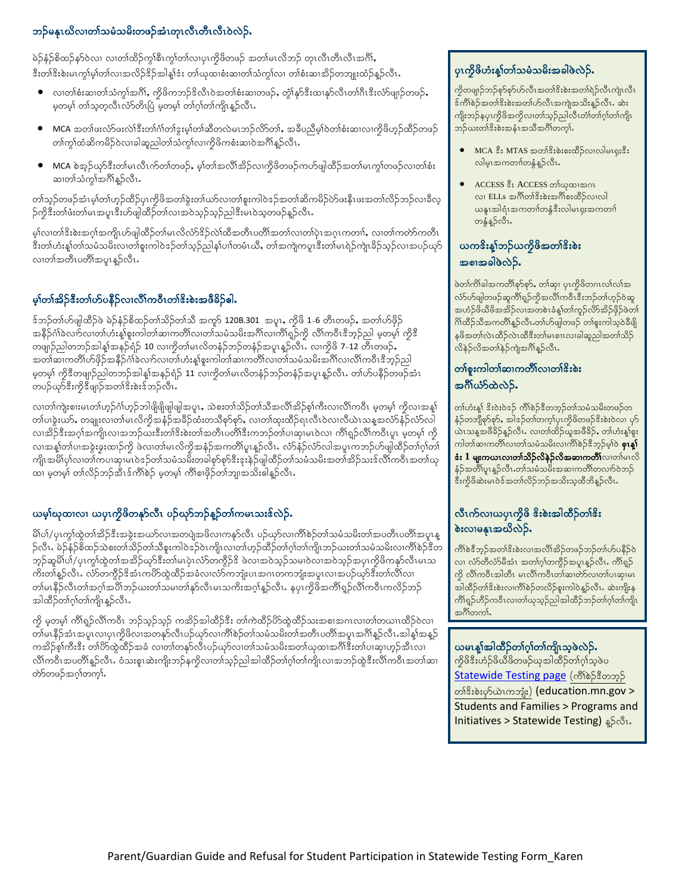## ဘဉ်မနုၤဃိလၢတၢ်သမံသမိးတဖဉ်အံၤတုၤလီၤတီၤဝဲလဲဉ်.

မဲဉ်နှံဉ်စိထဉ်နာ်ဝဲလ၊ လ၊တ၊်ထိဉ်ကု၊်စီးကု၊်တ၊်လ၊ပုၤကိုဖိတဖဉ် အတ၊်မၤလိဘဉ် တုၤလီၤတီၤလီၤအင်္ဂါ, ီးတၢ်<sup>ငွ</sup>းစဲးမၤကွါမ္ါတ၊်လၢအလိဉ်ၖိဉ်အါန္]ဒံး တ၊်ယုထၢစံးဆ၊တ၊်သံကွၤ်လ၊ တ၊်စံးဆၢအိဉ်တဘျုးထံဉ်န္ဉာလီၤ**.** 

- $\bullet$  လ၊တါစံးဆ၊တါသံကွါအင်္ဂါ, ကွိဖိကဘဉ်ဒိလိၤဝဲအတါစံးဆ၊တဖဉ်, တွဲါနု၁်ဒီးထ၊နု၁်လီၤတါဂိၢဒီးလံာ်ဖျုဉ်တဖဉ်, မှတမ့်၊ တ၊်သူတူလီၤလႆာတိၤပြီ မှတမ့်၊ တ၊်ဂူာ်တ၊်ကျိၤန္ဉာလီၤ**.**
- $\bullet$  MCA အတါဖးလံာ်ဖးလဲ1်ဒီးတ1်ဂါတ1်နွးမှါတ1်ဆီတလဲမၤဘဉ်လိာတ1်, အခီပညီမှါဝဲတ1်စံးဆၤလၢကိုဖိဟှဉ်ထိဉ်တဖဉ် တၢ်ကွ၊်ထံဆိကမိဉ်ဝဲလၢခါဆူညါတ၊်သံကွ၊်လၢကိုဖိကစံးဆၢဝဲအင်္ဂါနဉ်လီၤ
- $\bullet$  MCA စဲအ့ဉ်ယှာ်ဒီးတ၊်မၤလီၤက်တ၊်တဖဉ်, မ့၊်တ၊်အလိ၊်အိဉ်လၢကိုဖိတဖဉ်ကဟ်ဖျါထိဉ်အတ၊်မၤကွ၊်တဖဉ်လ၊တ၊်စံး ဆ၊တါသံကွၢ်အဂိၢန္ဉာလီၤ.

တၢ်သုဉ်တဖဉ်အံၤမ့ၢ်တ၊်ဟုဉ်ထိဉ်ပုၤကိုဖိအတၢ်ခွဲးတ၊်ယာ်လ၊တ၊်စူးကါဝဲဒဉ်အတ၊်ဆိကမိဉ်ဟ်ဖးနီၤဖးအတ၊်လိဉ်ဘဉ်လ၊ခီလ့ ဉ်ကိုဒီးတၢ်ဖံးတ၊်မၤအပူၤဒီးဟ်ဖျါထိဉ်တ၊်လၢအဝဲသူဉ်သူဉ်ညါဒီးမၤဝဲသူတဖဉ်နူဉ်လီၤ

.<br>မ္1လ၊တ္ပါဒီးစဲးအဂ္ဂါအကျိုယ်ဖျါထိဉ်တျမၤလိုလ်ာဒိုဥလဲ၊ထိအတိၤပတိၢအတ္ပါလ၊တျပုံ၊အဂ္ဂၤကတ္ပ္ပါ, လ၊တ္ပါကတဲ့ာကတီ၊ ဒီးတါဟံးနှါတါသမံသမိးလ၊တါစူးကါဝဲဒဉ်တါသ့ဉ်ညါန ${\mathfrak{h}}$ ပၢါတမံၤယိ $\boldsymbol{s}$ , တါအကျဲကပူၤဒီးတါမၤရဲဉ်ကျဲ၊ခိဉ်သ့ဉ်လ၊အပဉ်ယုဉ် လ၊တၢ်အတိၤပတိၢ်အပူၤန္ဉာလီၤႉ

## မှုကြက်ဆိုခ်င်းတက်ဟုတ်ခြင်းတာပေးတွေ့အဖွဲ့ခြင်း

 $\frac{1}{2}$ န်ဘဉ်တက်ပြုထိုင်းမြို့နော်မြို့တို့ကိုသည် အက်သား 20B.301 အပူး, ကိုဖိ 1-6 တီးတဖဉ်, အတၤ်ဟ်ဖိုဉ် အနိဉ်ဂံါခဲလက်လ၊တါဟံးန့)်စူးကါတါဆ၊ကတိါလ၊တါသမံသမိးအင်္ဂါလ၊ကိါရှဉ်ကို လိါကဝီၤဒီဘူဉ်ညါ မှတမ့ါ ကိုဒီ တဖျာဉ်ညါတဘဉ်အါန1်အနဉ်ရံဉ် 10 လၢကွိတါမၤလိတနံဉ်ဘဉ်တနံဉ်အပူးနဉ်လိၤ<sup>့</sup> လၢကွိဖိ 7–12 တီၤတဖဉ်**,** အတၤ်ဆၢကတိၤ်ဟ်ဖိုဉ်အနိဉ်င်္ဂါခဲလၢာ်လ၊တါဟံးနှုံစူးကါတၤ်ဆ၊ကတိၤ်လ၊တၤ်သမံသမိးအဂိၤ်လ၊လိၤ်ကဝိၤဒီဘုဉ်ညါ မှတမှ) ကိုဒီတဖျာဉ်ညါတဘဉ်အါန့၊်အနဉ်ရံဉ် 11 လ၊ကိုတ၊်မၤလိတနံဉ်ဘဉ်တနံဉ်အပူ၊နူဉ်လီၤ. တ၊်ဟ်ပနိဉ်တဖဉ်အံၤ တပဉ်ယှာ်ဒီးကိုဒီဖျာဉ်အတၢ်ဒီးစဲးဒ်ဘဉ်လိၤ

လ၊တါကျဲးစၢးမၤတါဟ့ဉ်င်္ဂါဟ့ဉ်ဘါဖိုဖြိုဖျါဖျါအပူး, သဲစးတ၊်သိဉ်တ၊်သီအလိ၊်အိဉ်စု၊်ကီးလ၊လိ၊်ကဝိၤ မှတမ့၊် ကိုလ၊အန္1် တ၊်ပၢခွဲးယာ်, တချုးလ၊တ၊်မၤလိကိုအနံဉ်အခိဉ်ထံးတသိစုာ်စုာ်, လ၊တ၊်ထုးထိဉ်ရၤလိၤဝဲလ၊လိယဲၤသန့္အလံာ်နံဉ်လံာ်လါ လ၊အိဉ်ဒီးအဂ္ဂါအကျိၤလ၊အဘဉ်ယးဒီးတ၊်ဒီးစဲးတ၊်အတိၤပတိ၊ိဒီးကဘဉ်တ၊်ပ၊ဆု၊မၤဝဲလ၊ ကိ၊်ရှဉ်လိ၊်ကဝိၤပူၤ မှတမ့၊် ကို လ၊အနှၤ်တာပ၊အခွဲးခွးထၢဉ်ကို ဖဲလ၊တာမၤလိကိုအနံဉ်အကတိါပူ၊နူဉ်လီး…လ်ာနံဉ်လံာ်လါအပူၤကဘဉ်ဟ်ဖျါထိဉ်တၢ်ဂူတြ၊ ကျိၤအမိါပု၊်လ၊တ၊်ကပ၊ဆု၊မၤဝဲဒဉ်တ၊်သမံသမီးတခါစုာ်စုာဒီးဒုးနှဲဉ်ဖျါထိဉ်တ၊်သမံသမိးအတ၊်အိဉ်သးဒ်လိ၊်ကဝီၤအတ၊်ယု ထ၊ မှတမ္၊ တ၊်လိဉ်ဘဉ်အီၤဒ်ကိၢိစဉ် မှတမ္၊ ကိၢ်စၢဖိုဉ်တ၊်ဘျ၊အသိးဧါနဉ်လီၤ

## ယမ့်္ဂမာထ၊လ၊ ယပုၤကိုဖိတနုာ်လီၤ ပဉ်ဃှာ်ဘဉ်နူဉ်တ၊်ကမၤသးဖ်လဲဉ်.

မိါပါ/ပုၤကွါထွဲတါအိဉ်ဒီးအခွဲးအယာ်လ၊အတပျဲအဖိလ၊ကနုာ်လီၤ ပဉ်ယှာ်လ၊ကိါစဉ်တါသမံသမိးတါအပတိၤပတိါအပူၤန္ ဉ်လီၤ. မဲဉ်နံဉ်စိထဉ်သဲစးတ၊်သိဉ်တ၊်သိစူးကါဝဲဒဉ်ဝဲၤကျိၤလ၊တ၊်ဟ္ဥာ်ထိဉ်တ၊်ဂ္ဂါတ၊်ကျိၤဘဉ်ဃးတ၊်သမံသမိးလ၊ကိ၊်စဉ်ဒီတ ဘု်ဆူမိါပါ/ပုၤက္ဂါထွဲတါအအိဉ်ယှာ်ဒီးတါမၤပုံၤလံာ်တကွိဉ်ဒိ ဖဲလၢအဝဲသုဉ်သမၢဝဲလ၊အဝဲသုဉ်အပုၤကိုဖိကနှာ်လီၤမၤသ ကိႏတၢ်န္ဥာလီၤႉ လံာ်တကွိဉ်ဒိအံၤကဟိတ္ထဲထိဉ်အခံလ၊လံာ်ကဘျံးပၤအဂၤတကဘျံးအပူၤလ၊အပဉ်ယှာ်ဒီးတ၊်လိၤ်လ၊ တါမၤနီဉ်လီၤတါအဂ္ဂါအပိါဘဉ်ဃးတါသမၢတါနှာ်လီၤမၤသကိးအဂ္ဂါန္ဥလီၤႉ နပုၤကိုဖိအကိါရှဉ်လိါကဝီၤကလိဉ်ဘဉ် အါထိဉ်တၢ်ဂ့ၢ်တ၊်ကျိၤန္ဉာလီၤ

ကို မှတမ့်၊ ကိၢရှဉ်လိၢ်ကဝိၤ ဘဉ်သူဉ်သူဉ် ကအိဉ်အါထိဉ်ဒိး တ၊်ကဲထိဉ်ပိာ်ထွဲထိဉ်သးအစၢအဂၤလ၊တ၊်တယၢၤထိဉ်ဝဲလ၊ \_\_<br>တါမၤနိဉ်အံၤအပူၤလၢပုၤကွိဖိလၤအတနှာ်လီၤပဉ်ယှာ်လၤကိၢိစဉ်တါသမံသမိးတါအတိၤပတိၢ်အပူၤအဂိၢန္ဉာလီၤ အါန္[အန္ဉာ် ကအိဉ်စု၊်ကီးဒီး တ၊်ဟိထွဲထိဉ်အခံ လ၊တ၊်တနုာ်လီၤပဉ်ယှာ်လ၊တ၊်သမံသမိးအတ၊်ယုထ၊အင်္ဂါဒီးတ၊်ပ၊ဆု၊ဟ္ဉ်အီၤလ၊ လိၢ်ကဝိၤအပတိၢန္ဉာလိၤႉ ဝံသးစူးဆဲးကျိုးဘဉ်နကိုလ၊တ၊်သူဉ်ညါအါထိဉ်တ၊်ဂ္ဂါတ၊်ကျိုးလ၊အဘဉ်ထွဲဒီးလိၢ်ကဝိၤအတ၊်ဆ၊ တ်တဖဉ်အဂ္ဂါတက္ဂါ.

#### $y$ းကိုဖိဟုံးန $y$ တျသမံသမိးအခါဖဲလဲဉ်.

 $\hat{\mathcal{P}}$ တဖျာဉ်ဘဉ်စုဉ်စုာ်ဟိလီၤအတ $\hat{\mathcal{S}}$ းစဲးအတ $\hat{\mathcal{S}}$ ညီလီၤကျဲၤလီၤ  $\delta$ ကိါစဉ်အတ $\delta$ းစ်းအတ $\delta$ ဟ်လီၤအကျဲအသိးန $\beta$ လီၤ $\delta$ း ကျိုးဘဉ်နပုၤကွိဖိအကွိလ၊တၢ်သူဉ်ညါလီၤတႆာတ်က်ကြို၊ ဘဉ်ယးတါဒိးစဲးအနံၤအသိအဂိါတက္နါ.

- $\bullet$  MCA  $\stackrel{9}{\$}$ : MTAS အတၢ် $\stackrel{2}{\$}$ းစ်းစ $\stackrel{2}{\$}$ လေးလ $\stackrel{1}{\$}$ ပေးစ $\stackrel{2}{\$}$ း လါမှၤအကတၢါတနွံ့န္5လီၤ.
- ACCESS နီး ACCESS တါယုထၢအဂၤ လ၊ ELLs အင်္ဂါတါဒိးစဲးအင်္ဂါစးထိဉ်လ၊လါ  $\omega$ နူးအါရုံးအကတၢါတနွံဒီးလါမၤရုးအကတၢါ တနွံ့န္5လိၤ.

# ယက&ိးန္1်ဘဉ်ယကၠိဖိအတၢ်&ိးစဲး အစ $\alpha$ အခါဖွဲလှဉ်.

ဖဲတ၊်ကိါခါအကတိိၢစုာ်စုာ်, တါဆု၊ ပုၤကိုဖိတဂၤလ၊်လ၊်အ လ်ာ်ပေါ့တဖဉ်ဆူကိုရ်ှဉ်ကိုအလိုကဝီၤဒီးဘဉ်တ၊်ဟုဉ်ဝဲဆူ .<br>အဟံဉ်ဖိယီဖိအအိဉ်လၢအတစ်ၤခံနှုတ်ကြဉ်လိာအိဉ်ဖိုဉ်ဖဲတ<sup>ု</sup>  $\delta$ က်ထိဉ်သိအကတိၤ်နှဉ်လီၤ.တၢ်ဟ်ဖျါတဖဉ် တၢ်စူးကါသဲ့ဝဲခီဖျိ နဖိအတ $\hat{\text{adv}}$ လဲ၊ထိဒီးတ $\hat{\text{adv}}$ ာ၊ လ $\hat{\text{adv}}$ ည် အတ $\hat{\text{adv}}$ လိနဲဉ်လိအတ<sup>ု</sup>နဉ်ကျဲအဂိၢန္ဉာလီၤ**.** 

#### တစနူးကါတါဆၢကတိိၤလၢတါ<sup>ဇွ</sup>းစဲး အင်္ဂိုယ်ာ်ထဲလဲဉ်.

တ)်ဟုးန့်၊ ဒိုးဝဲးဝဲဒဉ် ကို)စဉ်ဒီတဘု့ဉ်တ၊်သမံသမိးတဖဉ်တ နံဉ်တဘျိစု>်စု>်, အါဒဉ်တၢ်တက္န၊်ပုၤကိုဖိတဖဉ်ဒိးစဲးဝဲလ၊ ပုဉ် ယ်ၤသန္နအဖိခိဉ်နူဉ်လိၤႉ လၢတၢ်ထိဉ်ယူအဖိခိဉ်, တၢ်ဟံးန္1်စူး ကါတါဆၢကတိါလ၊တါသမံသမိးလ၊ကိါစဲဉ်ဒီဘုဉ်မှါဝဲ **စုၤန္<sup>န</sup>**  $\cdot$  $\cdot$  **1** မျးကယၤလၢတၢ်သိ**ဉ်လိနဉ်လိအဆၢကတိ**ၢ်လာတပ်မၤလိ နံဉ်အတိၤ်ပူးနှဉ်လီၤ.တၤ်သမံသမိးအဆၢကတိၤ်တလၢာ်ဝဲဘဉ် $\,$  $\sin\beta$ ဖိဆဲးမၤဝဲဒ်အတ $\sin\beta$ ဘဉ်အသိးသူထိဘိန္ဉ်လီၤ $\bm{\cdot}$ 

## လီၤက်လၢယပုၤကိုဖိ &ိးစဲးအါထိဉ်တၢ်&ိး  $\delta$ းလၢမန္မၤအဃိလဲဉ်.

ကိုစ်ဒီဘွဉ်အတ၊်ဒိးစဲးလ၊အလိ၊်အိဉ်တဖဉ်ဘဉ်တ၊်ဟ်ပနိဉ်ဝဲ လ၊ လံာ်တိလံာ်မီအံၤ အတၢ်ဂ့ါတကွိဉ်အပူၤန္ဉာလီၤ. ကိၢိရ္စဉ်  $\phi$  လိ $\delta$ ကီးအါတီး မၤလိ $\delta$ ကစီၤတ $\delta$ သတ်ပါးဆု၊မၤ အါထိဉ်တါဒိးစဲးလၢကိၢိစဉ်တလိဉ်စူးကါဝဲန္ဝ်လိၤႉ ဆဲးကျိးန ကိရ်ရှဉ်ဟိဉ်ကဝိၤလၢတ၊်ယုသုဉ်ညါအါထိဉ်ဘဉ်တ၊်ဂ့ၢ်တ၊်ကျိၤ အင်္ဂါတကၤ််

#### ယမၤန္(အါထိဉ်တ္(ဂ္)တ္(ကျီၤသ္၀ဲလဲဉ်.

ကိုဖိနီးဟံဉ်ဖိယီဖိတဖဉ်ယုအါထိဉ်တၢ်ဂ္ဂါသူဖဲပ [Statewide Testing page](https://education.mn.gov/MDE/fam/tests/) (ကိ<sup>ု</sup>စဲဉ်ဒီတဘွဉ် တ္ပါန္မႈစ္နဲ႔မွာကသုံး) (education.mn.gov > Students and Families > Programs and **Initiatives > Statewide Testing)** န5လီး.

MCA ' D;p;xD.vXvgr.vXvgr.vXvgr.vXvgr.vXvgr.vXvgr.vXvgr.vXvgr.vXvgr.vXvgr.vXvgr.vXvgr.vXvgr.vXvgr.vXvgr.vXvgr.v